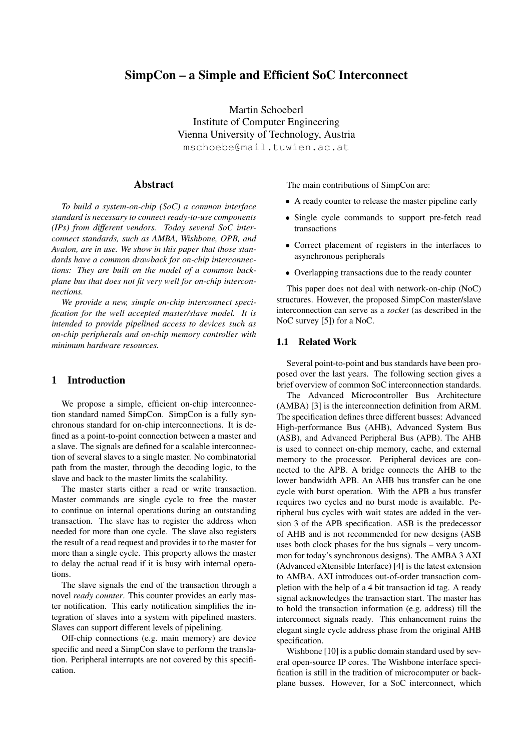# SimpCon – a Simple and Efficient SoC Interconnect

Martin Schoeberl Institute of Computer Engineering Vienna University of Technology, Austria mschoebe@mail.tuwien.ac.at

### Abstract

*To build a system-on-chip (SoC) a common interface standard is necessary to connect ready-to-use components (IPs) from different vendors. Today several SoC interconnect standards, such as AMBA, Wishbone, OPB, and Avalon, are in use. We show in this paper that those standards have a common drawback for on-chip interconnections: They are built on the model of a common backplane bus that does not fit very well for on-chip interconnections.*

*We provide a new, simple on-chip interconnect specification for the well accepted master/slave model. It is intended to provide pipelined access to devices such as on-chip peripherals and on-chip memory controller with minimum hardware resources.*

# 1 Introduction

We propose a simple, efficient on-chip interconnection standard named SimpCon. SimpCon is a fully synchronous standard for on-chip interconnections. It is defined as a point-to-point connection between a master and a slave. The signals are defined for a scalable interconnection of several slaves to a single master. No combinatorial path from the master, through the decoding logic, to the slave and back to the master limits the scalability.

The master starts either a read or write transaction. Master commands are single cycle to free the master to continue on internal operations during an outstanding transaction. The slave has to register the address when needed for more than one cycle. The slave also registers the result of a read request and provides it to the master for more than a single cycle. This property allows the master to delay the actual read if it is busy with internal operations.

The slave signals the end of the transaction through a novel *ready counter*. This counter provides an early master notification. This early notification simplifies the integration of slaves into a system with pipelined masters. Slaves can support different levels of pipelining.

Off-chip connections (e.g. main memory) are device specific and need a SimpCon slave to perform the translation. Peripheral interrupts are not covered by this specification.

The main contributions of SimpCon are:

- A ready counter to release the master pipeline early
- Single cycle commands to support pre-fetch read transactions
- Correct placement of registers in the interfaces to asynchronous peripherals
- Overlapping transactions due to the ready counter

This paper does not deal with network-on-chip (NoC) structures. However, the proposed SimpCon master/slave interconnection can serve as a *socket* (as described in the NoC survey [5]) for a NoC.

#### 1.1 Related Work

Several point-to-point and bus standards have been proposed over the last years. The following section gives a brief overview of common SoC interconnection standards.

The Advanced Microcontroller Bus Architecture (AMBA) [3] is the interconnection definition from ARM. The specification defines three different busses: Advanced High-performance Bus (AHB), Advanced System Bus (ASB), and Advanced Peripheral Bus (APB). The AHB is used to connect on-chip memory, cache, and external memory to the processor. Peripheral devices are connected to the APB. A bridge connects the AHB to the lower bandwidth APB. An AHB bus transfer can be one cycle with burst operation. With the APB a bus transfer requires two cycles and no burst mode is available. Peripheral bus cycles with wait states are added in the version 3 of the APB specification. ASB is the predecessor of AHB and is not recommended for new designs (ASB uses both clock phases for the bus signals – very uncommon for today's synchronous designs). The AMBA 3 AXI (Advanced eXtensible Interface) [4] is the latest extension to AMBA. AXI introduces out-of-order transaction completion with the help of a 4 bit transaction id tag. A ready signal acknowledges the transaction start. The master has to hold the transaction information (e.g. address) till the interconnect signals ready. This enhancement ruins the elegant single cycle address phase from the original AHB specification.

Wishbone [10] is a public domain standard used by several open-source IP cores. The Wishbone interface specification is still in the tradition of microcomputer or backplane busses. However, for a SoC interconnect, which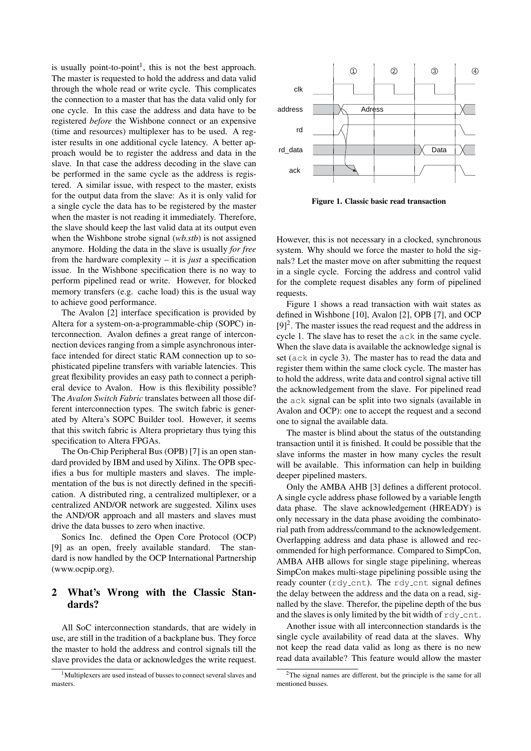is usually point-to-point<sup>1</sup>, this is not the best approach. The master is requested to hold the address and data valid through the whole read or write cycle. This complicates the connection to a master that has the data valid only for one cycle. In this case the address and data have to be registered *before* the Wishbone connect or an expensive (time and resources) multiplexer has to be used. A register results in one additional cycle latency. A better approach would be to register the address and data in the slave. In that case the address decoding in the slave can be performed in the same cycle as the address is registered. A similar issue, with respect to the master, exists for the output data from the slave: As it is only valid for a single cycle the data has to be registered by the master when the master is not reading it immediately. Therefore, the slave should keep the last valid data at its output even when the Wishbone strobe signal (*wb.stb*) is not assigned anymore. Holding the data in the slave is usually *for free* from the hardware complexity – it is *just* a specification issue. In the Wishbone specification there is no way to perform pipelined read or write. However, for blocked memory transfers (e.g. cache load) this is the usual way to achieve good performance.

The Avalon [2] interface specification is provided by Altera for a system-on-a-programmable-chip (SOPC) interconnection. Avalon defines a great range of interconnection devices ranging from a simple asynchronous interface intended for direct static RAM connection up to sophisticated pipeline transfers with variable latencies. This great flexibility provides an easy path to connect a peripheral device to Avalon. How is this flexibility possible? The *Avalon Switch Fabric* translates between all those different interconnection types. The switch fabric is generated by Altera's SOPC Builder tool. However, it seems that this switch fabric is Altera proprietary thus tying this specification to Altera FPGAs.

The On-Chip Peripheral Bus (OPB) [7] is an open standard provided by IBM and used by Xilinx. The OPB specifies a bus for multiple masters and slaves. The implementation of the bus is not directly defined in the specification. A distributed ring, a centralized multiplexer, or a centralized AND/OR network are suggested. Xilinx uses the AND/OR approach and all masters and slaves must drive the data busses to zero when inactive.

Sonics Inc. defined the Open Core Protocol (OCP) [9] as an open, freely available standard. The standard is now handled by the OCP International Partnership (www.ocpip.org).

# 2 What's Wrong with the Classic Standards?

All SoC interconnection standards, that are widely in use, are still in the tradition of a backplane bus. They force the master to hold the address and control signals till the slave provides the data or acknowledges the write request.



Figure 1. Classic basic read transaction

However, this is not necessary in a clocked, synchronous system. Why should we force the master to hold the signals? Let the master move on after submitting the request in a single cycle. Forcing the address and control valid for the complete request disables any form of pipelined requests.

Figure 1 shows a read transaction with wait states as defined in Wishbone [10], Avalon [2], OPB [7], and OCP  $[9]<sup>2</sup>$ . The master issues the read request and the address in cycle 1. The slave has to reset the ack in the same cycle. When the slave data is available the acknowledge signal is set (ack in cycle 3). The master has to read the data and register them within the same clock cycle. The master has to hold the address, write data and control signal active till the acknowledgement from the slave. For pipelined read the ack signal can be split into two signals (available in Avalon and OCP): one to accept the request and a second one to signal the available data.

The master is blind about the status of the outstanding transaction until it is finished. It could be possible that the slave informs the master in how many cycles the result will be available. This information can help in building deeper pipelined masters.

Only the AMBA AHB [3] defines a different protocol. A single cycle address phase followed by a variable length data phase. The slave acknowledgement (HREADY) is only necessary in the data phase avoiding the combinatorial path from address/command to the acknowledgement. Overlapping address and data phase is allowed and recommended for high performance. Compared to SimpCon, AMBA AHB allows for single stage pipelining, whereas SimpCon makes multi-stage pipelining possible using the ready counter (rdy\_cnt). The rdy\_cnt signal defines the delay between the address and the data on a read, signalled by the slave. Therefor, the pipeline depth of the bus and the slaves is only limited by the bit width of  $rdy_c$ nt.

Another issue with all interconnection standards is the single cycle availability of read data at the slaves. Why not keep the read data valid as long as there is no new read data available? This feature would allow the master

<sup>&</sup>lt;sup>1</sup>Multiplexers are used instead of busses to connect several slaves and masters.

 $2$ The signal names are different, but the principle is the same for all mentioned busses.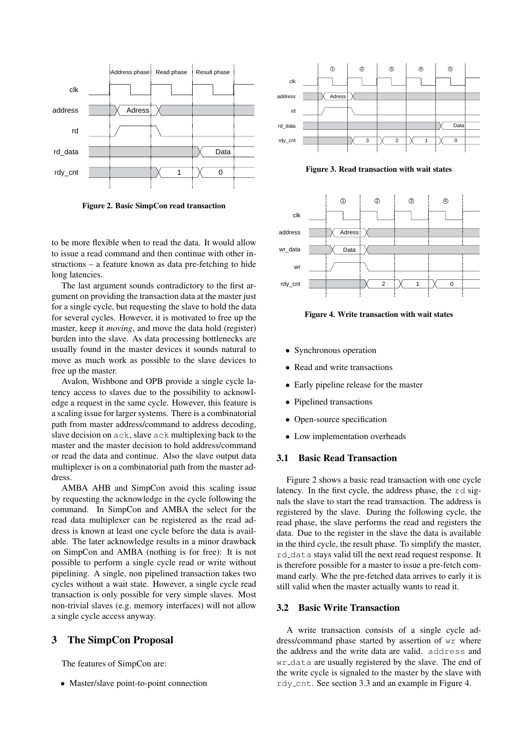

Figure 2. Basic SimpCon read transaction

to be more flexible when to read the data. It would allow to issue a read command and then continue with other instructions – a feature known as data pre-fetching to hide long latencies.

The last argument sounds contradictory to the first argument on providing the transaction data at the master just for a single cycle, but requesting the slave to hold the data for several cycles. However, it is motivated to free up the master, keep it *moving*, and move the data hold (register) burden into the slave. As data processing bottlenecks are usually found in the master devices it sounds natural to move as much work as possible to the slave devices to free up the master.

Avalon, Wishbone and OPB provide a single cycle latency access to slaves due to the possibility to acknowledge a request in the same cycle. However, this feature is a scaling issue for larger systems. There is a combinatorial path from master address/command to address decoding, slave decision on ack, slave ack multiplexing back to the master and the master decision to hold address/command or read the data and continue. Also the slave output data multiplexer is on a combinatorial path from the master address.

AMBA AHB and SimpCon avoid this scaling issue by requesting the acknowledge in the cycle following the command. In SimpCon and AMBA the select for the read data multiplexer can be registered as the read address is known at least one cycle before the data is available. The later acknowledge results in a minor drawback on SimpCon and AMBA (nothing is for free): It is not possible to perform a single cycle read or write without pipelining. A single, non pipelined transaction takes two cycles without a wait state. However, a single cycle read transaction is only possible for very simple slaves. Most non-trivial slaves (e.g. memory interfaces) will not allow a single cycle access anyway.

### 3 The SimpCon Proposal

The features of SimpCon are:

• Master/slave point-to-point connection



Figure 3. Read transaction with wait states



Figure 4. Write transaction with wait states

- Synchronous operation
- Read and write transactions
- Early pipeline release for the master
- Pipelined transactions
- Open-source specification
- Low implementation overheads

#### 3.1 Basic Read Transaction

Figure 2 shows a basic read transaction with one cycle latency. In the first cycle, the address phase, the rd signals the slave to start the read transaction. The address is registered by the slave. During the following cycle, the read phase, the slave performs the read and registers the data. Due to the register in the slave the data is available in the third cycle, the result phase. To simplify the master, rd data stays valid till the next read request response. It is therefore possible for a master to issue a pre-fetch command early. Whe the pre-fetched data arrives to early it is still valid when the master actually wants to read it.

#### 3.2 Basic Write Transaction

A write transaction consists of a single cycle address/command phase started by assertion of wr where the address and the write data are valid. address and wr data are usually registered by the slave. The end of the write cycle is signaled to the master by the slave with rdy cnt. See section 3.3 and an example in Figure 4.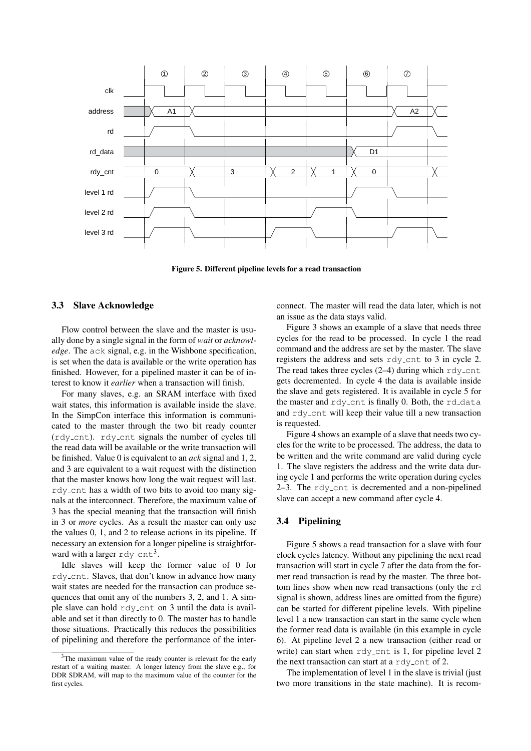

Figure 5. Different pipeline levels for a read transaction

# 3.3 Slave Acknowledge

Flow control between the slave and the master is usually done by a single signal in the form of *wait* or *acknowledge*. The ack signal, e.g. in the Wishbone specification, is set when the data is available or the write operation has finished. However, for a pipelined master it can be of interest to know it *earlier* when a transaction will finish.

For many slaves, e.g. an SRAM interface with fixed wait states, this information is available inside the slave. In the SimpCon interface this information is communicated to the master through the two bit ready counter (rdy cnt). rdy cnt signals the number of cycles till the read data will be available or the write transaction will be finished. Value 0 is equivalent to an *ack* signal and 1, 2, and 3 are equivalent to a wait request with the distinction that the master knows how long the wait request will last. rdy cnt has a width of two bits to avoid too many signals at the interconnect. Therefore, the maximum value of 3 has the special meaning that the transaction will finish in 3 or *more* cycles. As a result the master can only use the values 0, 1, and 2 to release actions in its pipeline. If necessary an extension for a longer pipeline is straightforward with a larger  $rdy$ <sub>-</sub>cnt<sup>3</sup>.

Idle slaves will keep the former value of 0 for rdy cnt. Slaves, that don't know in advance how many wait states are needed for the transaction can produce sequences that omit any of the numbers 3, 2, and 1. A simple slave can hold rdy cnt on 3 until the data is available and set it than directly to 0. The master has to handle those situations. Practically this reduces the possibilities of pipelining and therefore the performance of the interconnect. The master will read the data later, which is not an issue as the data stays valid.

Figure 3 shows an example of a slave that needs three cycles for the read to be processed. In cycle 1 the read command and the address are set by the master. The slave registers the address and sets rdy cnt to 3 in cycle 2. The read takes three cycles  $(2-4)$  during which rdy-cnt gets decremented. In cycle 4 the data is available inside the slave and gets registered. It is available in cycle 5 for the master and  $rdy$  cnt is finally 0. Both, the  $rd$ -data and rdy cnt will keep their value till a new transaction is requested.

Figure 4 shows an example of a slave that needs two cycles for the write to be processed. The address, the data to be written and the write command are valid during cycle 1. The slave registers the address and the write data during cycle 1 and performs the write operation during cycles 2–3. The rdy cnt is decremented and a non-pipelined slave can accept a new command after cycle 4.

## 3.4 Pipelining

Figure 5 shows a read transaction for a slave with four clock cycles latency. Without any pipelining the next read transaction will start in cycle 7 after the data from the former read transaction is read by the master. The three bottom lines show when new read transactions (only the rd signal is shown, address lines are omitted from the figure) can be started for different pipeline levels. With pipeline level 1 a new transaction can start in the same cycle when the former read data is available (in this example in cycle 6). At pipeline level 2 a new transaction (either read or write) can start when rdy\_cnt is 1, for pipeline level 2 the next transaction can start at a  $r$ dy<sub>-cnt</sub> of 2.

The implementation of level 1 in the slave is trivial (just two more transitions in the state machine). It is recom-

<sup>&</sup>lt;sup>3</sup>The maximum value of the ready counter is relevant for the early restart of a waiting master. A longer latency from the slave e.g., for DDR SDRAM, will map to the maximum value of the counter for the first cycles.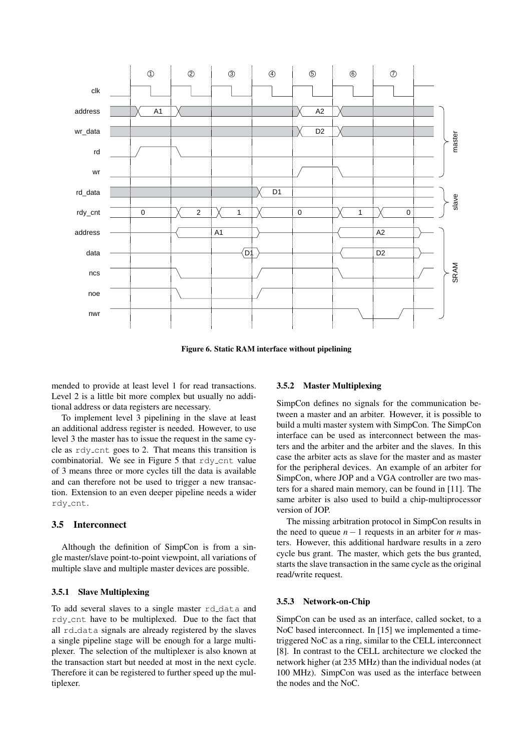

Figure 6. Static RAM interface without pipelining

mended to provide at least level 1 for read transactions. Level 2 is a little bit more complex but usually no additional address or data registers are necessary.

To implement level 3 pipelining in the slave at least an additional address register is needed. However, to use level 3 the master has to issue the request in the same cycle as rdy cnt goes to 2. That means this transition is combinatorial. We see in Figure 5 that  $rdy$ -cnt value of 3 means three or more cycles till the data is available and can therefore not be used to trigger a new transaction. Extension to an even deeper pipeline needs a wider rdy cnt.

### 3.5 Interconnect

Although the definition of SimpCon is from a single master/slave point-to-point viewpoint, all variations of multiple slave and multiple master devices are possible.

#### 3.5.1 Slave Multiplexing

To add several slaves to a single master rd\_data and rdy cnt have to be multiplexed. Due to the fact that all rd data signals are already registered by the slaves a single pipeline stage will be enough for a large multiplexer. The selection of the multiplexer is also known at the transaction start but needed at most in the next cycle. Therefore it can be registered to further speed up the multiplexer.

## 3.5.2 Master Multiplexing

SimpCon defines no signals for the communication between a master and an arbiter. However, it is possible to build a multi master system with SimpCon. The SimpCon interface can be used as interconnect between the masters and the arbiter and the arbiter and the slaves. In this case the arbiter acts as slave for the master and as master for the peripheral devices. An example of an arbiter for SimpCon, where JOP and a VGA controller are two masters for a shared main memory, can be found in [11]. The same arbiter is also used to build a chip-multiprocessor version of JOP.

The missing arbitration protocol in SimpCon results in the need to queue  $n - 1$  requests in an arbiter for *n* masters. However, this additional hardware results in a zero cycle bus grant. The master, which gets the bus granted, starts the slave transaction in the same cycle as the original read/write request.

#### 3.5.3 Network-on-Chip

SimpCon can be used as an interface, called socket, to a NoC based interconnect. In [15] we implemented a timetriggered NoC as a ring, similar to the CELL interconnect [8]. In contrast to the CELL architecture we clocked the network higher (at 235 MHz) than the individual nodes (at 100 MHz). SimpCon was used as the interface between the nodes and the NoC.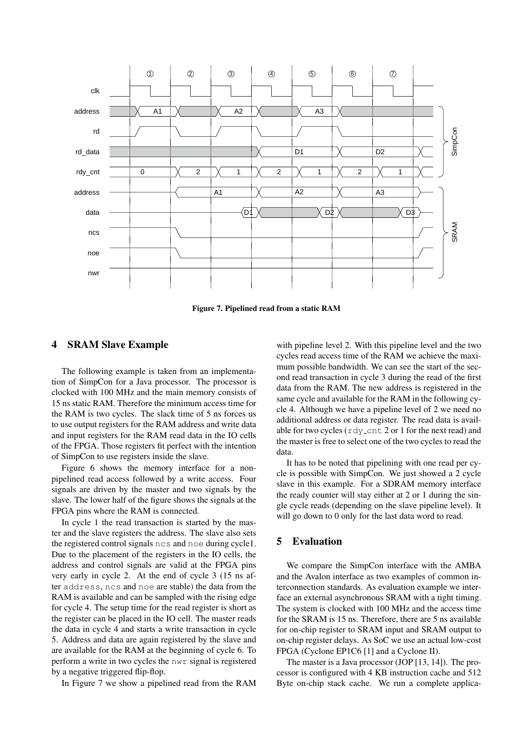

Figure 7. Pipelined read from a static RAM

### 4 SRAM Slave Example

The following example is taken from an implementation of SimpCon for a Java processor. The processor is clocked with 100 MHz and the main memory consists of 15 ns static RAM. Therefore the minimum access time for the RAM is two cycles. The slack time of 5 ns forces us to use output registers for the RAM address and write data and input registers for the RAM read data in the IO cells of the FPGA. Those registers fit perfect with the intention of SimpCon to use registers inside the slave.

Figure 6 shows the memory interface for a nonpipelined read access followed by a write access. Four signals are driven by the master and two signals by the slave. The lower half of the figure shows the signals at the FPGA pins where the RAM is connected.

In cycle 1 the read transaction is started by the master and the slave registers the address. The slave also sets the registered control signals ncs and noe during cycle1. Due to the placement of the registers in the IO cells, the address and control signals are valid at the FPGA pins very early in cycle 2. At the end of cycle 3 (15 ns after address, ncs and noe are stable) the data from the RAM is available and can be sampled with the rising edge for cycle 4. The setup time for the read register is short as the register can be placed in the IO cell. The master reads the data in cycle 4 and starts a write transaction in cycle 5. Address and data are again registered by the slave and are available for the RAM at the beginning of cycle 6. To perform a write in two cycles the nwr signal is registered by a negative triggered flip-flop.

In Figure 7 we show a pipelined read from the RAM

with pipeline level 2. With this pipeline level and the two cycles read access time of the RAM we achieve the maximum possible bandwidth. We can see the start of the second read transaction in cycle 3 during the read of the first data from the RAM. The new address is registered in the same cycle and available for the RAM in the following cycle 4. Although we have a pipeline level of 2 we need no additional address or data register. The read data is available for two cycles ( $rdy$  cnt 2 or 1 for the next read) and the master is free to select one of the two cycles to read the data.

It has to be noted that pipelining with one read per cycle is possible with SimpCon. We just showed a 2 cycle slave in this example. For a SDRAM memory interface the ready counter will stay either at 2 or 1 during the single cycle reads (depending on the slave pipeline level). It will go down to 0 only for the last data word to read.

# 5 Evaluation

We compare the SimpCon interface with the AMBA and the Avalon interface as two examples of common interconnection standards. As evaluation example we interface an external asynchronous SRAM with a tight timing. The system is clocked with 100 MHz and the access time for the SRAM is 15 ns. Therefore, there are 5 ns available for on-chip register to SRAM input and SRAM output to on-chip register delays. As SoC we use an actual low-cost FPGA (Cyclone EP1C6 [1] and a Cyclone II).

The master is a Java processor (JOP [13, 14]). The processor is configured with 4 KB instruction cache and 512 Byte on-chip stack cache. We run a complete applica-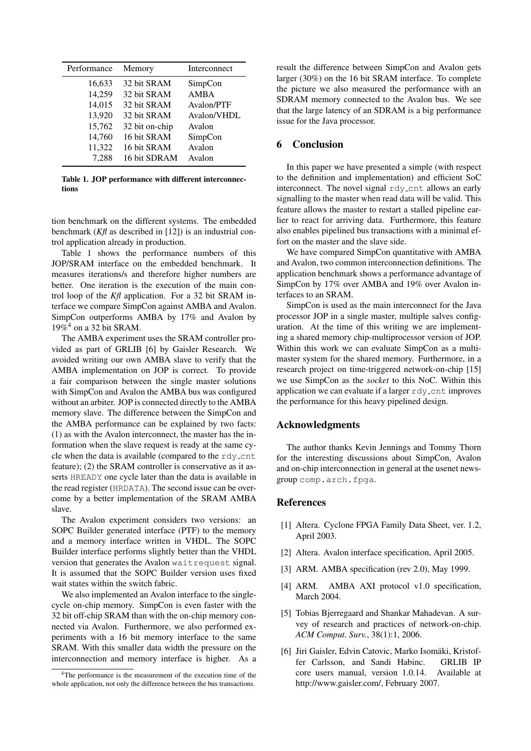| Performance | Memory         | Interconnect |
|-------------|----------------|--------------|
| 16,633      | 32 bit SRAM    | SimpCon      |
| 14,259      | 32 bit SRAM    | <b>AMBA</b>  |
| 14,015      | 32 bit SRAM    | Avalon/PTF   |
| 13,920      | 32 bit SRAM    | Avalon/VHDL  |
| 15,762      | 32 bit on-chip | Avalon       |
| 14,760      | 16 bit SRAM    | SimpCon      |
| 11,322      | 16 bit SRAM    | Avalon       |
| 7.288       | 16 bit SDRAM   | Avalon       |

Table 1. JOP performance with different interconnections

tion benchmark on the different systems. The embedded benchmark (*Kfl* as described in [12]) is an industrial control application already in production.

Table 1 shows the performance numbers of this JOP/SRAM interface on the embedded benchmark. It measures iterations/s and therefore higher numbers are better. One iteration is the execution of the main control loop of the *Kfl* application. For a 32 bit SRAM interface we compare SimpCon against AMBA and Avalon. SimpCon outperforms AMBA by 17% and Avalon by  $19\%$ <sup>4</sup> on a 32 bit SRAM.

The AMBA experiment uses the SRAM controller provided as part of GRLIB [6] by Gaisler Research. We avoided writing our own AMBA slave to verify that the AMBA implementation on JOP is correct. To provide a fair comparison between the single master solutions with SimpCon and Avalon the AMBA bus was configured without an arbiter. JOP is connected directly to the AMBA memory slave. The difference between the SimpCon and the AMBA performance can be explained by two facts: (1) as with the Avalon interconnect, the master has the information when the slave request is ready at the same cycle when the data is available (compared to the  $rdv$ -cnt feature); (2) the SRAM controller is conservative as it asserts HREADY one cycle later than the data is available in the read register (HRDATA). The second issue can be overcome by a better implementation of the SRAM AMBA slave.

The Avalon experiment considers two versions: an SOPC Builder generated interface (PTF) to the memory and a memory interface written in VHDL. The SOPC Builder interface performs slightly better than the VHDL version that generates the Avalon waitrequest signal. It is assumed that the SOPC Builder version uses fixed wait states within the switch fabric.

We also implemented an Avalon interface to the singlecycle on-chip memory. SimpCon is even faster with the 32 bit off-chip SRAM than with the on-chip memory connected via Avalon. Furthermore, we also performed experiments with a 16 bit memory interface to the same SRAM. With this smaller data width the pressure on the interconnection and memory interface is higher. As a result the difference between SimpCon and Avalon gets larger (30%) on the 16 bit SRAM interface. To complete the picture we also measured the performance with an SDRAM memory connected to the Avalon bus. We see that the large latency of an SDRAM is a big performance issue for the Java processor.

### 6 Conclusion

In this paper we have presented a simple (with respect to the definition and implementation) and efficient SoC interconnect. The novel signal rdy\_cnt allows an early signalling to the master when read data will be valid. This feature allows the master to restart a stalled pipeline earlier to react for arriving data. Furthermore, this feature also enables pipelined bus transactions with a minimal effort on the master and the slave side.

We have compared SimpCon quantitative with AMBA and Avalon, two common interconnection definitions. The application benchmark shows a performance advantage of SimpCon by 17% over AMBA and 19% over Avalon interfaces to an SRAM.

SimpCon is used as the main interconnect for the Java processor JOP in a single master, multiple salves configuration. At the time of this writing we are implementing a shared memory chip-multiprocessor version of JOP. Within this work we can evaluate SimpCon as a multimaster system for the shared memory. Furthermore, in a research project on time-triggered network-on-chip [15] we use SimpCon as the *socket* to this NoC. Within this application we can evaluate if a larger rdy\_cnt improves the performance for this heavy pipelined design.

# Acknowledgments

The author thanks Kevin Jennings and Tommy Thorn for the interesting discussions about SimpCon, Avalon and on-chip interconnection in general at the usenet newsgroup comp.arch.fpga.

## References

- [1] Altera. Cyclone FPGA Family Data Sheet, ver. 1.2, April 2003.
- [2] Altera. Avalon interface specification, April 2005.
- [3] ARM. AMBA specification (rev 2.0), May 1999.
- [4] ARM. AMBA AXI protocol v1.0 specification, March 2004.
- [5] Tobias Bjerregaard and Shankar Mahadevan. A survey of research and practices of network-on-chip. *ACM Comput. Surv.*, 38(1):1, 2006.
- [6] Jiri Gaisler, Edvin Catovic, Marko Isomaki, Kristof- ¨ fer Carlsson, and Sandi Habinc. GRLIB IP core users manual, version 1.0.14. Available at http://www.gaisler.com/, February 2007.

<sup>&</sup>lt;sup>4</sup>The performance is the measurement of the execution time of the whole application, not only the difference between the bus transactions.